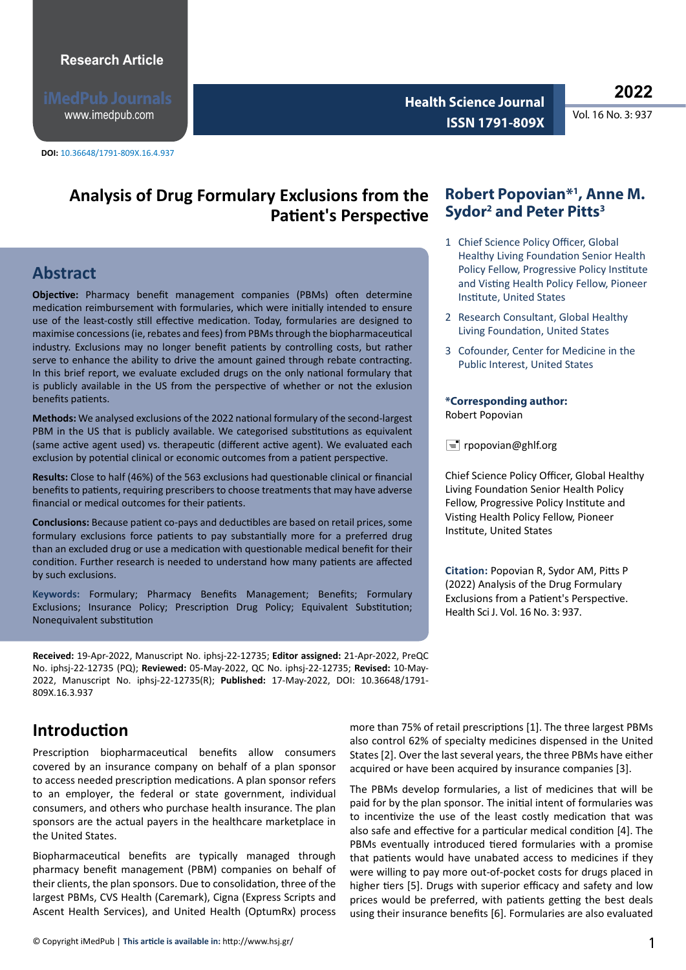www.imedpub.com

**DOI:** 10.36648/1791-809X.16.4.937

**Health Science Journal Vol. 16 No. 3: 937 ISSN 1791-809X** 

# **Analysis of Drug Formulary Exclusions from the Patient's Perspective**

## **Abstract**

**Objective:** Pharmacy benefit management companies (PBMs) often determine medication reimbursement with formularies, which were initially intended to ensure use of the least-costly still effective medication. Today, formularies are designed to maximise concessions (ie, rebates and fees) from PBMs through the biopharmaceutical industry. Exclusions may no longer benefit patients by controlling costs, but rather serve to enhance the ability to drive the amount gained through rebate contracting. In this brief report, we evaluate excluded drugs on the only national formulary that is publicly available in the US from the perspective of whether or not the exlusion benefits patients.

**Methods:** We analysed exclusions of the 2022 national formulary of the second-largest PBM in the US that is publicly available. We categorised substitutions as equivalent (same active agent used) vs. therapeutic (different active agent). We evaluated each exclusion by potential clinical or economic outcomes from a patient perspective.

**Results:** Close to half (46%) of the 563 exclusions had questionable clinical or financial benefits to patients, requiring prescribers to choose treatments that may have adverse financial or medical outcomes for their patients.

**Conclusions:** Because patient co-pays and deductibles are based on retail prices, some formulary exclusions force patients to pay substantially more for a preferred drug than an excluded drug or use a medication with questionable medical benefit for their condition. Further research is needed to understand how many patients are affected by such exclusions.

**Keywords:** Formulary; Pharmacy Benefits Management; Benefits; Formulary Exclusions; Insurance Policy; Prescription Drug Policy; Equivalent Substitution; Nonequivalent substitution

**Received:** 19-Apr-2022, Manuscript No. iphsj-22-12735; **Editor assigned:** 21-Apr-2022, PreQC No. iphsj-22-12735 (PQ); **Reviewed:** 05-May-2022, QC No. iphsj-22-12735; **Revised:** 10-May-2022, Manuscript No. iphsj-22-12735(R); **Published:** 17-May-2022, DOI: 10.36648/1791- 809X.16.3.937

## **Introduction**

Prescription biopharmaceutical benefits allow consumers covered by an insurance company on behalf of a plan sponsor to access needed prescription medications. A plan sponsor refers to an employer, the federal or state government, individual consumers, and others who purchase health insurance. The plan sponsors are the actual payers in the healthcare marketplace in the United States.

Biopharmaceutical benefits are typically managed through pharmacy benefit management (PBM) companies on behalf of their clients, the plan sponsors. Due to consolidation, three of the largest PBMs, CVS Health (Caremark), Cigna (Express Scripts and Ascent Health Services), and United Health (OptumRx) process

### **Robert Popovian\*1 , Anne M. Sydor<sup>2</sup> and Peter Pitts<sup>3</sup>**

- 1 Chief Science Policy Officer, Global Healthy Living Foundation Senior Health Policy Fellow, Progressive Policy Institute and Visting Health Policy Fellow, Pioneer Institute, United States
- 2 Research Consultant, Global Healthy Living Foundation, United States
- 3 Cofounder, Center for Medicine in the Public Interest, United States

#### **\*Corresponding author:**  Robert Popovian

 $\equiv$  rpopovian@ghlf.org

Chief Science Policy Officer, Global Healthy Living Foundation Senior Health Policy Fellow, Progressive Policy Institute and Visting Health Policy Fellow, Pioneer Institute, United States

**Citation:** Popovian R, Sydor AM, Pitts P (2022) Analysis of the Drug Formulary Exclusions from a Patient's Perspective. Health Sci J. Vol. 16 No. 3: 937.

more than 75% of retail prescriptions [1]. The three largest PBMs also control 62% of specialty medicines dispensed in the United States [2]. Over the last several years, the three PBMs have either acquired or have been acquired by insurance companies [3].

The PBMs develop formularies, a list of medicines that will be paid for by the plan sponsor. The initial intent of formularies was to incentivize the use of the least costly medication that was also safe and effective for a particular medical condition [4]. The PBMs eventually introduced tiered formularies with a promise that patients would have unabated access to medicines if they were willing to pay more out-of-pocket costs for drugs placed in higher tiers [5]. Drugs with superior efficacy and safety and low prices would be preferred, with patients getting the best deals using their insurance benefits [6]. Formularies are also evaluated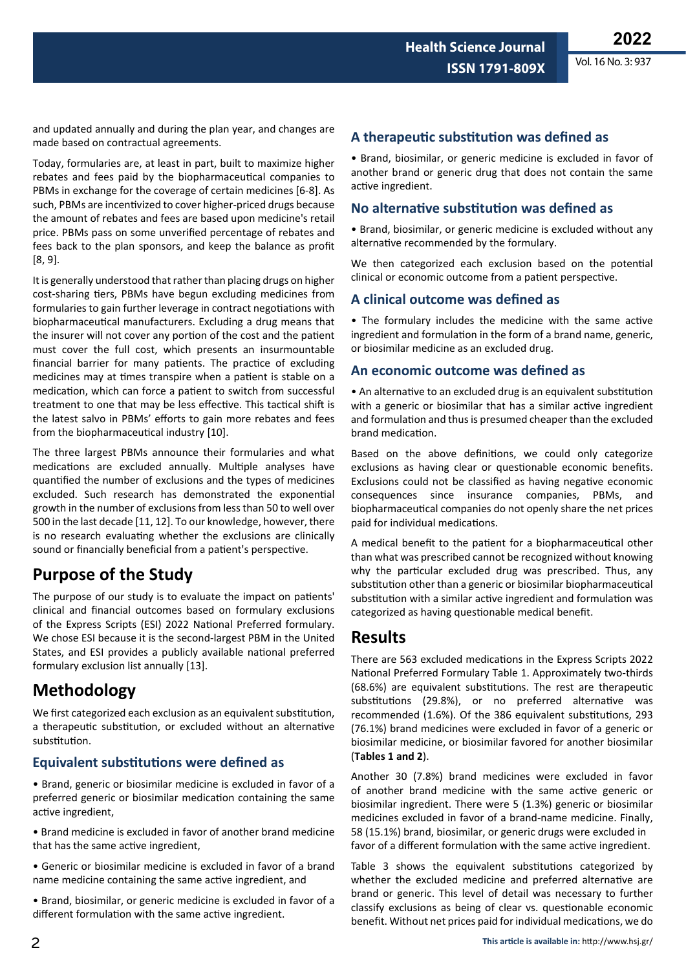and updated annually and during the plan year, and changes are made based on contractual agreements.

> Today, formularies are, at least in part, built to maximize higher rebates and fees paid by the biopharmaceutical companies to PBMs in exchange for the coverage of certain medicines [6-8]. As such, PBMs are incentivized to cover higher-priced drugs because the amount of rebates and fees are based upon medicine's retail price. PBMs pass on some unverified percentage of rebates and fees back to the plan sponsors, and keep the balance as profit [8, 9].

> It is generally understood that rather than placing drugs on higher cost-sharing tiers, PBMs have begun excluding medicines from formularies to gain further leverage in contract negotiations with biopharmaceutical manufacturers. Excluding a drug means that the insurer will not cover any portion of the cost and the patient must cover the full cost, which presents an insurmountable financial barrier for many patients. The practice of excluding medicines may at times transpire when a patient is stable on a medication, which can force a patient to switch from successful treatment to one that may be less effective. This tactical shift is the latest salvo in PBMs' efforts to gain more rebates and fees from the biopharmaceutical industry [10].

> The three largest PBMs announce their formularies and what medications are excluded annually. Multiple analyses have quantified the number of exclusions and the types of medicines excluded. Such research has demonstrated the exponential growth in the number of exclusions from less than 50 to well over 500 in the last decade [11, 12]. To our knowledge, however, there is no research evaluating whether the exclusions are clinically sound or financially beneficial from a patient's perspective.

# **Purpose of the Study**

The purpose of our study is to evaluate the impact on patients' clinical and financial outcomes based on formulary exclusions of the Express Scripts (ESI) 2022 National Preferred formulary. We chose ESI because it is the second-largest PBM in the United States, and ESI provides a publicly available national preferred formulary exclusion list annually [13].

## **Methodology**

We first categorized each exclusion as an equivalent substitution, a therapeutic substitution, or excluded without an alternative substitution.

### **Equivalent substitutions were defined as**

• Brand, generic or biosimilar medicine is excluded in favor of a preferred generic or biosimilar medication containing the same active ingredient,

• Brand medicine is excluded in favor of another brand medicine that has the same active ingredient,

• Generic or biosimilar medicine is excluded in favor of a brand name medicine containing the same active ingredient, and

• Brand, biosimilar, or generic medicine is excluded in favor of a different formulation with the same active ingredient.

### **A therapeutic substitution was defined as**

• Brand, biosimilar, or generic medicine is excluded in favor of another brand or generic drug that does not contain the same active ingredient.

#### **No alternative substitution was defined as**

• Brand, biosimilar, or generic medicine is excluded without any alternative recommended by the formulary.

We then categorized each exclusion based on the potential clinical or economic outcome from a patient perspective.

#### **A clinical outcome was defined as**

• The formulary includes the medicine with the same active ingredient and formulation in the form of a brand name, generic, or biosimilar medicine as an excluded drug.

#### **An economic outcome was defined as**

• An alternative to an excluded drug is an equivalent substitution with a generic or biosimilar that has a similar active ingredient and formulation and thus is presumed cheaper than the excluded brand medication.

Based on the above definitions, we could only categorize exclusions as having clear or questionable economic benefits. Exclusions could not be classified as having negative economic consequences since insurance companies, PBMs, and biopharmaceutical companies do not openly share the net prices paid for individual medications.

A medical benefit to the patient for a biopharmaceutical other than what was prescribed cannot be recognized without knowing why the particular excluded drug was prescribed. Thus, any substitution other than a generic or biosimilar biopharmaceutical substitution with a similar active ingredient and formulation was categorized as having questionable medical benefit.

### **Results**

There are 563 excluded medications in the Express Scripts 2022 National Preferred Formulary Table 1. Approximately two-thirds (68.6%) are equivalent substitutions. The rest are therapeutic substitutions (29.8%), or no preferred alternative was recommended (1.6%). Of the 386 equivalent substitutions, 293 (76.1%) brand medicines were excluded in favor of a generic or biosimilar medicine, or biosimilar favored for another biosimilar (**Tables 1 and 2**).

Another 30 (7.8%) brand medicines were excluded in favor of another brand medicine with the same active generic or biosimilar ingredient. There were 5 (1.3%) generic or biosimilar medicines excluded in favor of a brand-name medicine. Finally, 58 (15.1%) brand, biosimilar, or generic drugs were excluded in favor of a different formulation with the same active ingredient.

Table 3 shows the equivalent substitutions categorized by whether the excluded medicine and preferred alternative are brand or generic. This level of detail was necessary to further classify exclusions as being of clear vs. questionable economic benefit. Without net prices paid for individual medications, we do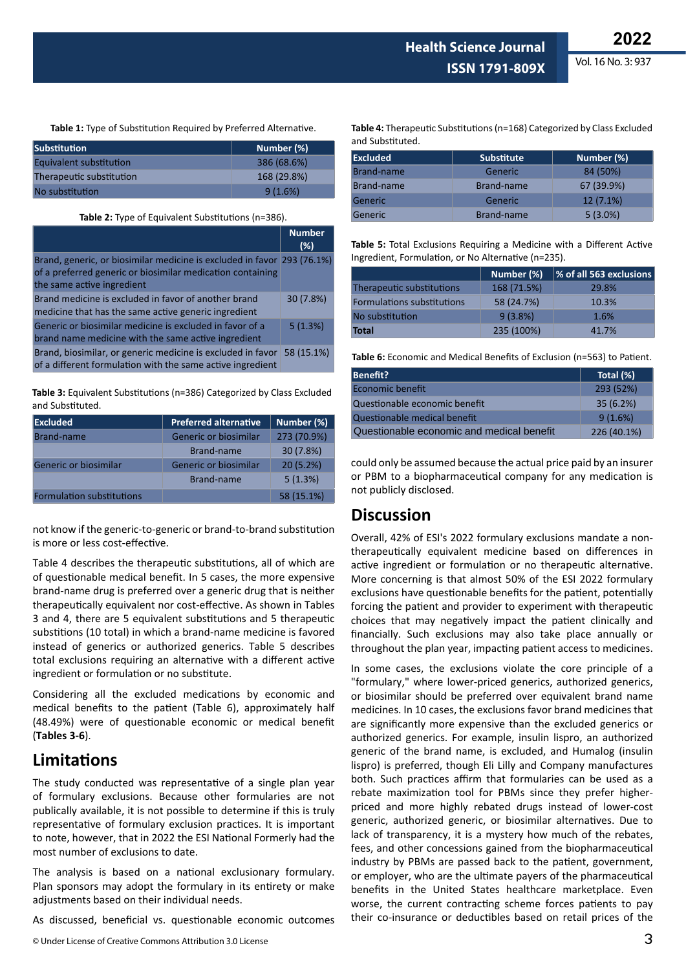Vol. 16 No. 3: 937

**Table 1:** Type of Substitution Required by Preferred Alternative.

| Substitution             | Number (%)  |
|--------------------------|-------------|
| Equivalent substitution  | 386 (68.6%) |
| Therapeutic substitution | 168 (29.8%) |
| No substitution          | 9(1.6%)     |

#### **Table 2:** Type of Equivalent Substitutions (n=386).

|                                                                                                                                                                     | <b>Number</b><br>(%) |
|---------------------------------------------------------------------------------------------------------------------------------------------------------------------|----------------------|
| Brand, generic, or biosimilar medicine is excluded in favor 293 (76.1%)<br>of a preferred generic or biosimilar medication containing<br>the same active ingredient |                      |
| Brand medicine is excluded in favor of another brand<br>medicine that has the same active generic ingredient                                                        | 30 (7.8%)            |
| Generic or biosimilar medicine is excluded in favor of a<br>brand name medicine with the same active ingredient                                                     | 5(1.3%)              |
| Brand, biosimilar, or generic medicine is excluded in favor<br>of a different formulation with the same active ingredient                                           | 58 (15.1%)           |

**Table 3:** Equivalent Substitutions (n=386) Categorized by Class Excluded and Substituted.

| <b>Excluded</b>                  | <b>Preferred alternative</b> | Number (%)  |
|----------------------------------|------------------------------|-------------|
| Brand-name                       | Generic or biosimilar        | 273 (70.9%) |
|                                  | Brand-name                   | 30 (7.8%)   |
| Generic or biosimilar            | Generic or biosimilar        | 20(5.2%)    |
|                                  | Brand-name                   | 5(1.3%)     |
| <b>Formulation substitutions</b> |                              | 58 (15.1%)  |

not know if the generic-to-generic or brand-to-brand substitution is more or less cost-effective.

Table 4 describes the therapeutic substitutions, all of which are of questionable medical benefit. In 5 cases, the more expensive brand-name drug is preferred over a generic drug that is neither therapeutically equivalent nor cost-effective. As shown in Tables 3 and 4, there are 5 equivalent substitutions and 5 therapeutic substitions (10 total) in which a brand-name medicine is favored instead of generics or authorized generics. Table 5 describes total exclusions requiring an alternative with a different active ingredient or formulation or no substitute.

Considering all the excluded medications by economic and medical benefits to the patient (Table 6), approximately half (48.49%) were of questionable economic or medical benefit (**Tables 3-6**).

### **Limitations**

The study conducted was representative of a single plan year of formulary exclusions. Because other formularies are not publically available, it is not possible to determine if this is truly representative of formulary exclusion practices. It is important to note, however, that in 2022 the ESI National Formerly had the most number of exclusions to date.

The analysis is based on a national exclusionary formulary. Plan sponsors may adopt the formulary in its entirety or make adjustments based on their individual needs.

As discussed, beneficial vs. questionable economic outcomes

© Under License of Creative Commons Attribution 3.0 License

**Table 4:** Therapeutic Substitutions (n=168) Categorized by Class Excluded and Substituted.

| <b>Excluded</b> | <b>Substitute</b> | Number (%)  |
|-----------------|-------------------|-------------|
| Brand-name      | Generic           | 84 (50%)    |
| Brand-name      | Brand-name        | 67 (39.9%)  |
| Generic         | Generic           | $12(7.1\%)$ |
| Generic         | Brand-name        | $5(3.0\%)$  |

**Table 5:** Total Exclusions Requiring a Medicine with a Different Active Ingredient, Formulation, or No Alternative (n=235).

|                                   | Number (%)  | % of all 563 exclusions |
|-----------------------------------|-------------|-------------------------|
| Therapeutic substitutions         | 168 (71.5%) | 29.8%                   |
| <b>Formulations substitutions</b> | 58 (24.7%)  | 10.3%                   |
| No substitution                   | 9(3.8%)     | 1.6%                    |
| <b>Total</b>                      | 235 (100%)  | 41.7%                   |

**Table 6:** Economic and Medical Benefits of Exclusion (n=563) to Patient.

| Benefit?                                  | Total (%)   |
|-------------------------------------------|-------------|
| Economic benefit                          | 293 (52%)   |
| Questionable economic benefit             | 35(6.2%)    |
| Questionable medical benefit              | 9(1.6%)     |
| Questionable economic and medical benefit | 226 (40.1%) |

could only be assumed because the actual price paid by an insurer or PBM to a biopharmaceutical company for any medication is not publicly disclosed.

### **Discussion**

Overall, 42% of ESI's 2022 formulary exclusions mandate a nontherapeutically equivalent medicine based on differences in active ingredient or formulation or no therapeutic alternative. More concerning is that almost 50% of the ESI 2022 formulary exclusions have questionable benefits for the patient, potentially forcing the patient and provider to experiment with therapeutic choices that may negatively impact the patient clinically and financially. Such exclusions may also take place annually or throughout the plan year, impacting patient access to medicines.

In some cases, the exclusions violate the core principle of a "formulary," where lower-priced generics, authorized generics, or biosimilar should be preferred over equivalent brand name medicines. In 10 cases, the exclusions favor brand medicines that are significantly more expensive than the excluded generics or authorized generics. For example, insulin lispro, an authorized generic of the brand name, is excluded, and Humalog (insulin lispro) is preferred, though Eli Lilly and Company manufactures both. Such practices affirm that formularies can be used as a rebate maximization tool for PBMs since they prefer higherpriced and more highly rebated drugs instead of lower-cost generic, authorized generic, or biosimilar alternatives. Due to lack of transparency, it is a mystery how much of the rebates, fees, and other concessions gained from the biopharmaceutical industry by PBMs are passed back to the patient, government, or employer, who are the ultimate payers of the pharmaceutical benefits in the United States healthcare marketplace. Even worse, the current contracting scheme forces patients to pay their co-insurance or deductibles based on retail prices of the